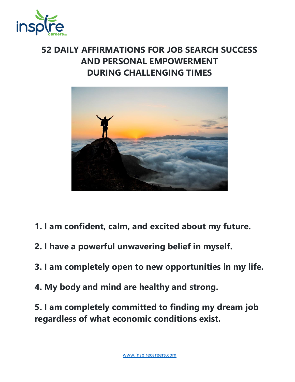

## **52 DAILY AFFIRMATIONS FOR JOB SEARCH SUCCESS AND PERSONAL EMPOWERMENT DURING CHALLENGING TIMES**



- **1. I am confident, calm, and excited about my future.**
- **2. I have a powerful unwavering belief in myself.**
- **3. I am completely open to new opportunities in my life.**
- **4. My body and mind are healthy and strong.**

**5. I am completely committed to finding my dream job regardless of what economic conditions exist.**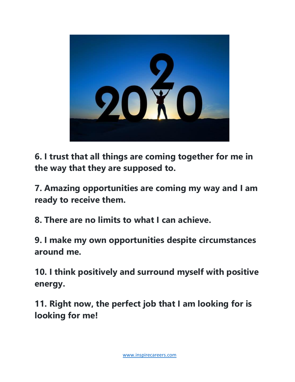

**6. I trust that all things are coming together for me in the way that they are supposed to.**

**7. Amazing opportunities are coming my way and I am ready to receive them.**

**8. There are no limits to what I can achieve.**

**9. I make my own opportunities despite circumstances around me.**

**10. I think positively and surround myself with positive energy.**

**11. Right now, the perfect job that I am looking for is looking for me!**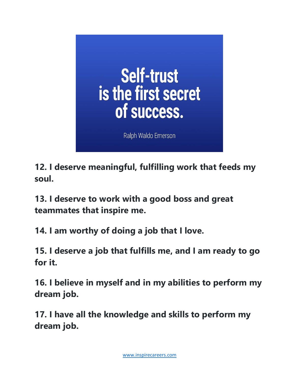

**12. I deserve meaningful, fulfilling work that feeds my soul.**

**13. I deserve to work with a good boss and great teammates that inspire me.**

**14. I am worthy of doing a job that I love.**

**15. I deserve a job that fulfills me, and I am ready to go for it.**

**16. I believe in myself and in my abilities to perform my dream job.**

**17. I have all the knowledge and skills to perform my dream job.**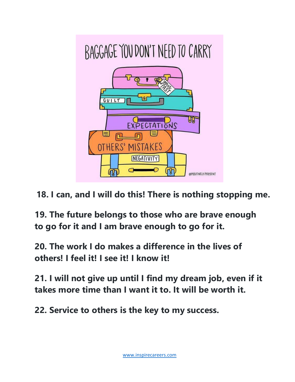

**18. I can, and I will do this! There is nothing stopping me.**

**19. The future belongs to those who are brave enough to go for it and I am brave enough to go for it.**

**20. The work I do makes a difference in the lives of others! I feel it! I see it! I know it!**

**21. I will not give up until I find my dream job, even if it takes more time than I want it to. It will be worth it.**

**22. Service to others is the key to my success.**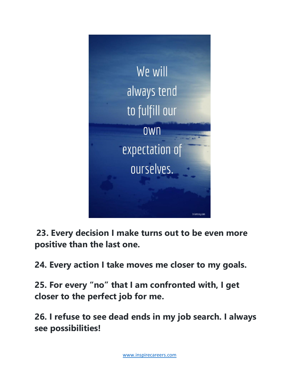

**23. Every decision I make turns out to be even more positive than the last one.**

**24. Every action I take moves me closer to my goals.**

**25. For every "no" that I am confronted with, I get closer to the perfect job for me.**

**26. I refuse to see dead ends in my job search. I always see possibilities!**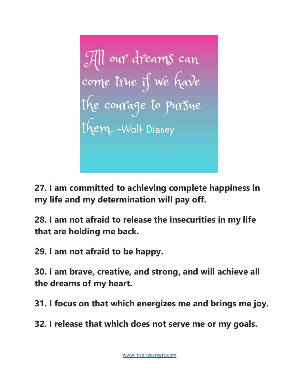**27. I am committed to achieving complete happiness in my life and my determination will pay off.**

**28. I am not afraid to release the insecurities in my life that are holding me back.**

**29. I am not afraid to be happy.**

**30. I am brave, creative, and strong, and will achieve all the dreams of my heart.**

**31. I focus on that which energizes me and brings me joy.**

**32. I release that which does not serve me or my goals.**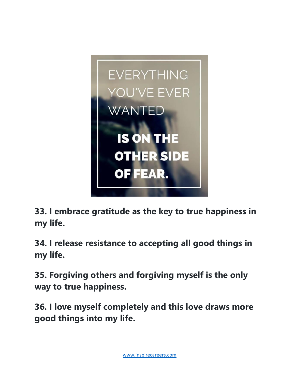

**33. I embrace gratitude as the key to true happiness in my life.**

**34. I release resistance to accepting all good things in my life.**

**35. Forgiving others and forgiving myself is the only way to true happiness.**

**36. I love myself completely and this love draws more good things into my life.**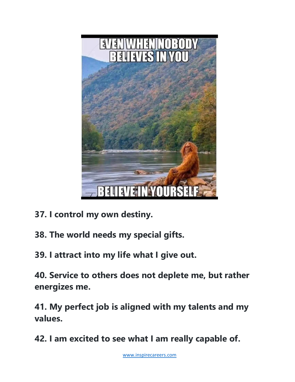

- **37. I control my own destiny.**
- **38. The world needs my special gifts.**
- **39. I attract into my life what I give out.**

**40. Service to others does not deplete me, but rather energizes me.**

**41. My perfect job is aligned with my talents and my values.**

**42. I am excited to see what I am really capable of.**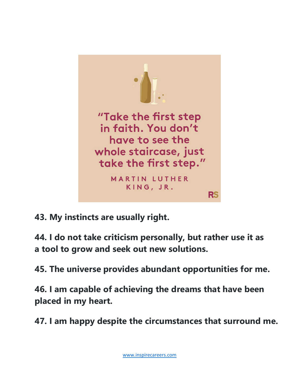

**43. My instincts are usually right.**

**44. I do not take criticism personally, but rather use it as a tool to grow and seek out new solutions.**

**45. The universe provides abundant opportunities for me.**

**46. I am capable of achieving the dreams that have been placed in my heart.**

**47. I am happy despite the circumstances that surround me.**